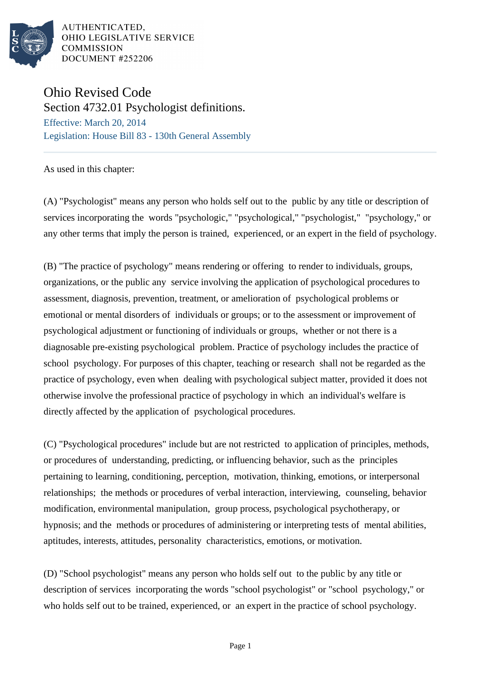

AUTHENTICATED, OHIO LEGISLATIVE SERVICE **COMMISSION** DOCUMENT #252206

## Ohio Revised Code

Section 4732.01 Psychologist definitions. Effective: March 20, 2014 Legislation: House Bill 83 - 130th General Assembly

As used in this chapter:

(A) "Psychologist" means any person who holds self out to the public by any title or description of services incorporating the words "psychologic," "psychological," "psychologist," "psychology," or any other terms that imply the person is trained, experienced, or an expert in the field of psychology.

(B) "The practice of psychology" means rendering or offering to render to individuals, groups, organizations, or the public any service involving the application of psychological procedures to assessment, diagnosis, prevention, treatment, or amelioration of psychological problems or emotional or mental disorders of individuals or groups; or to the assessment or improvement of psychological adjustment or functioning of individuals or groups, whether or not there is a diagnosable pre-existing psychological problem. Practice of psychology includes the practice of school psychology. For purposes of this chapter, teaching or research shall not be regarded as the practice of psychology, even when dealing with psychological subject matter, provided it does not otherwise involve the professional practice of psychology in which an individual's welfare is directly affected by the application of psychological procedures.

(C) "Psychological procedures" include but are not restricted to application of principles, methods, or procedures of understanding, predicting, or influencing behavior, such as the principles pertaining to learning, conditioning, perception, motivation, thinking, emotions, or interpersonal relationships; the methods or procedures of verbal interaction, interviewing, counseling, behavior modification, environmental manipulation, group process, psychological psychotherapy, or hypnosis; and the methods or procedures of administering or interpreting tests of mental abilities, aptitudes, interests, attitudes, personality characteristics, emotions, or motivation.

(D) "School psychologist" means any person who holds self out to the public by any title or description of services incorporating the words "school psychologist" or "school psychology," or who holds self out to be trained, experienced, or an expert in the practice of school psychology.